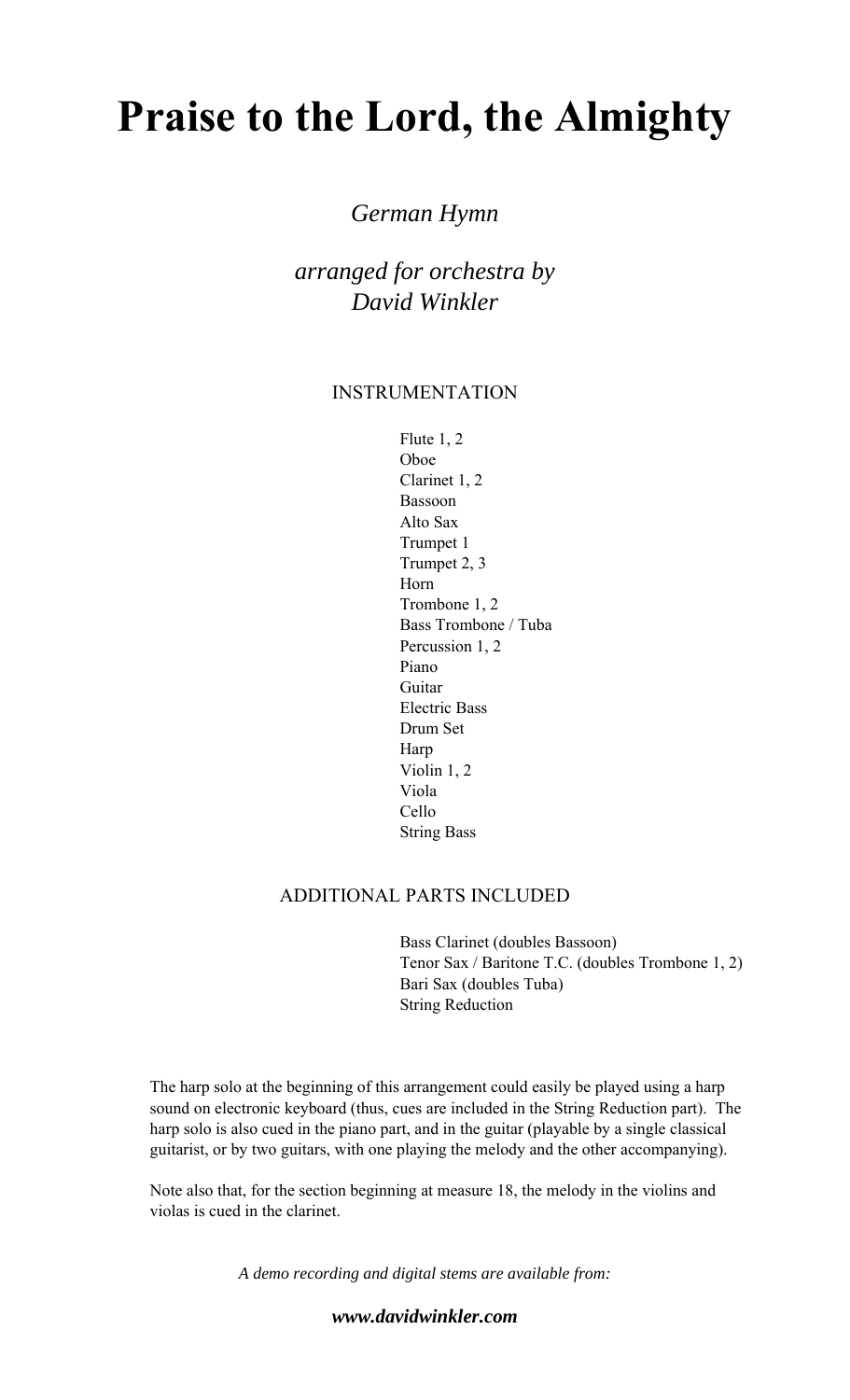# **Praise to the Lord, the Almighty**

### *German Hymn*

*arranged for orchestra by David Winkler* 

#### INSTRUMENTATION

 Flute 1, 2 Oboe Clarinet 1, 2 Bassoon Alto Sax Trumpet 1 Trumpet 2, 3 Horn Trombone 1, 2 Bass Trombone / Tuba Percussion 1, 2 Piano Guitar Electric Bass Drum Set Harp Violin 1, 2 Viola Cello String Bass

#### ADDITIONAL PARTS INCLUDED

 Bass Clarinet (doubles Bassoon) Tenor Sax / Baritone T.C. (doubles Trombone 1, 2) Bari Sax (doubles Tuba) String Reduction

The harp solo at the beginning of this arrangement could easily be played using a harp sound on electronic keyboard (thus, cues are included in the String Reduction part). The harp solo is also cued in the piano part, and in the guitar (playable by a single classical guitarist, or by two guitars, with one playing the melody and the other accompanying).

Note also that, for the section beginning at measure 18, the melody in the violins and violas is cued in the clarinet.

*A demo recording and digital stems are available from:* 

*www.davidwinkler.com*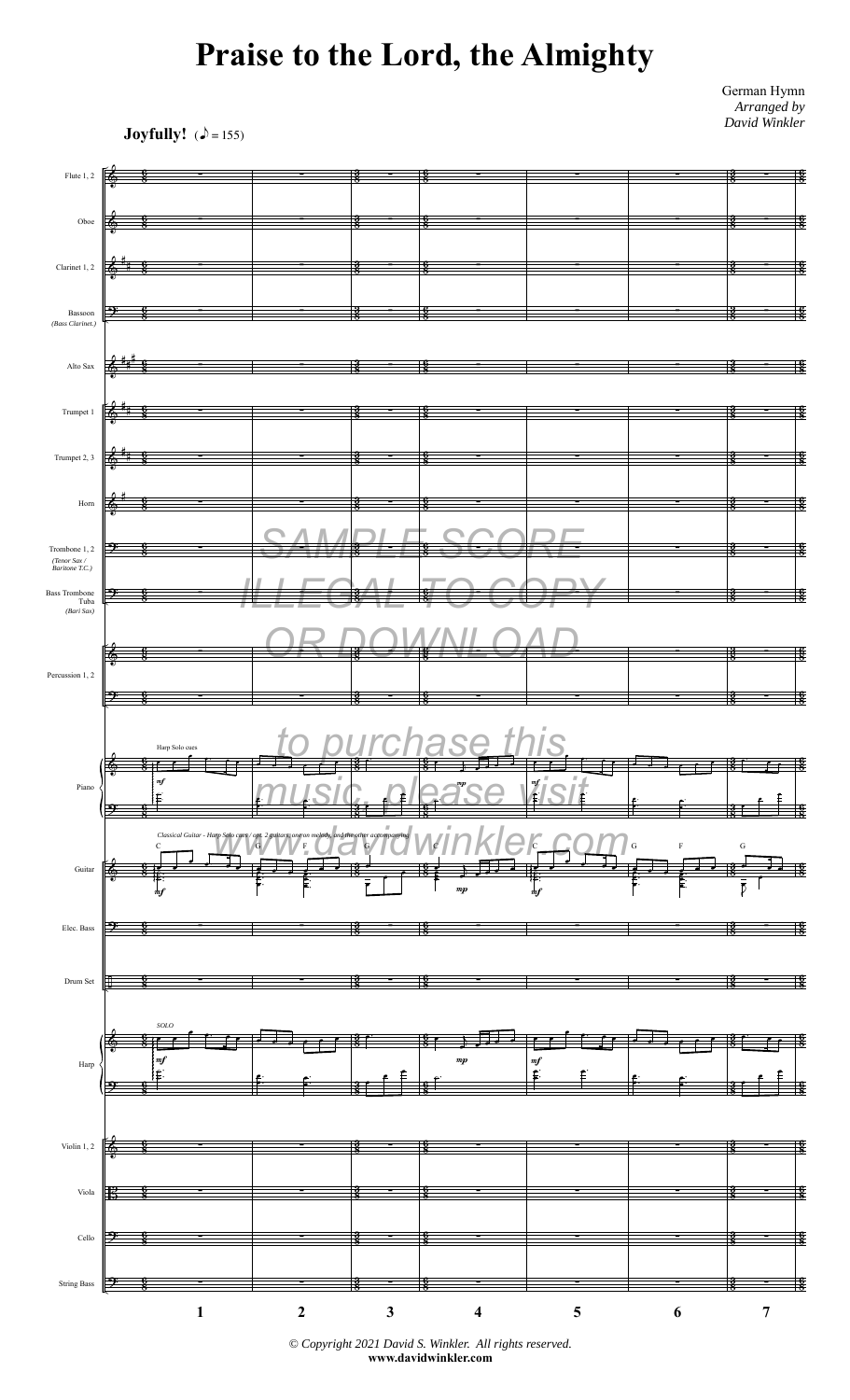## **Praise to the Lord, the Almighty**

German Hymn *Arranged by David Winkler*

**Joyfully!**  $(\triangle = 155)$ 



*<sup>©</sup> Copyright 2021 David S. Winkler. All rights reserved.* **www.davidwinkler.com**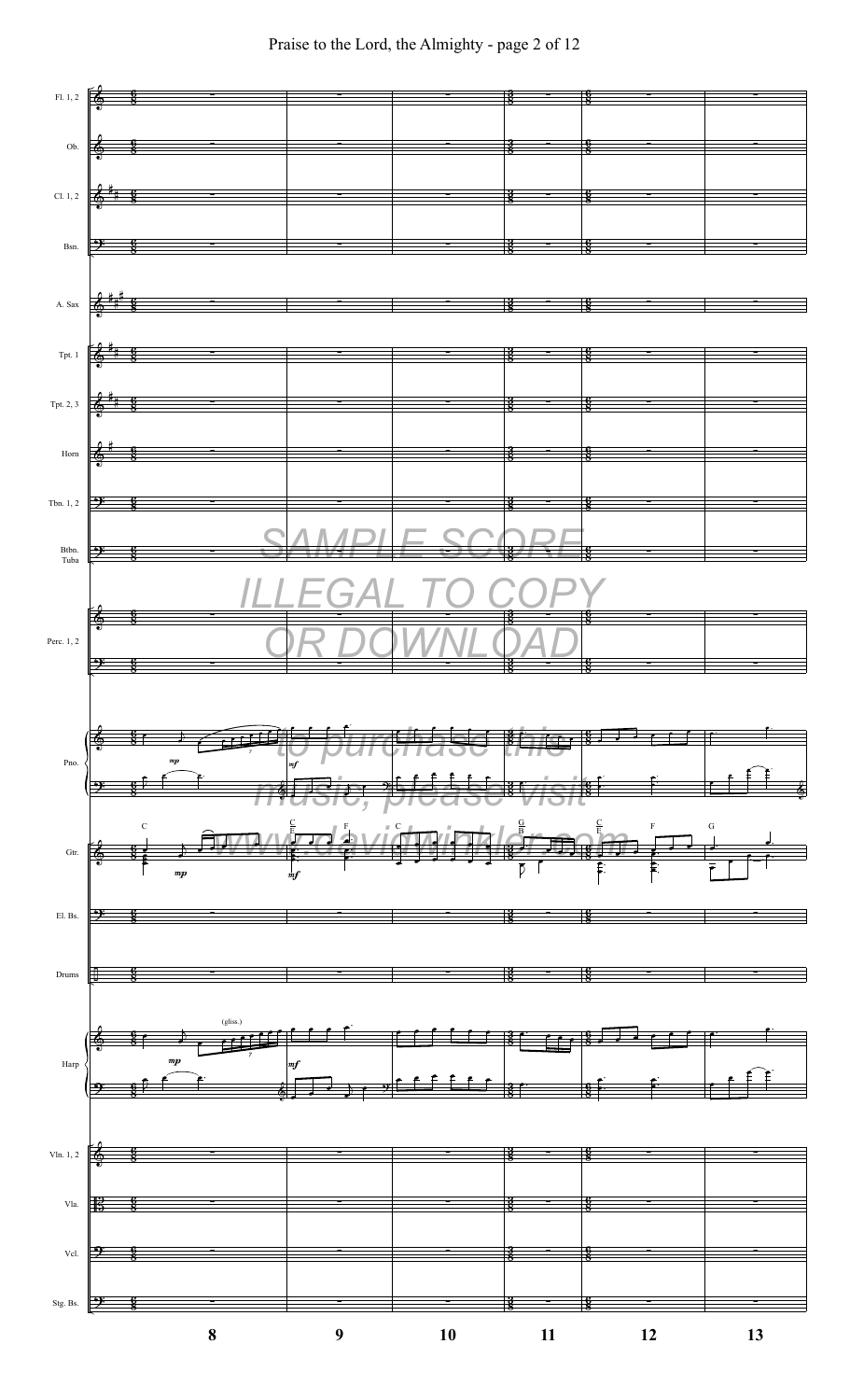

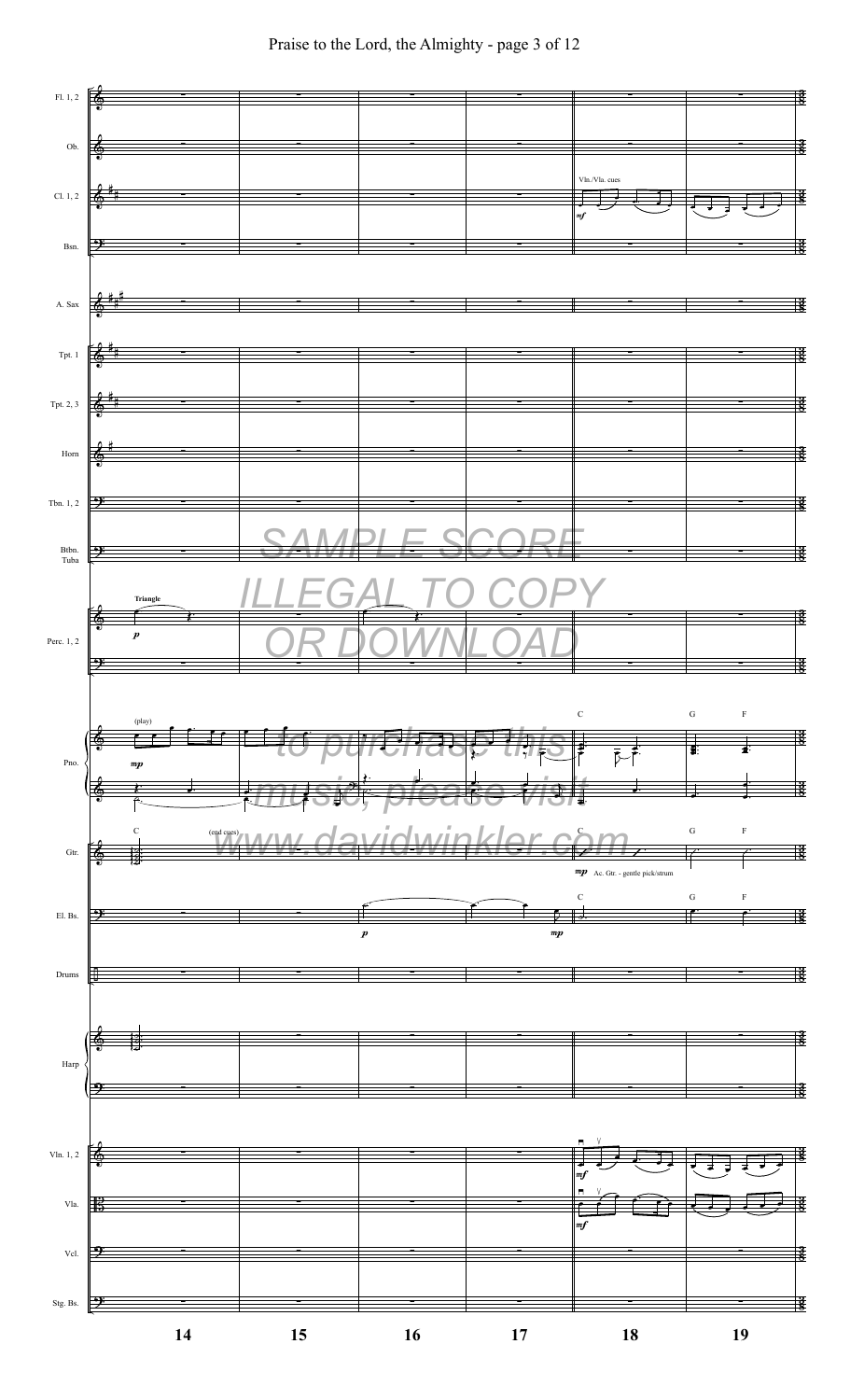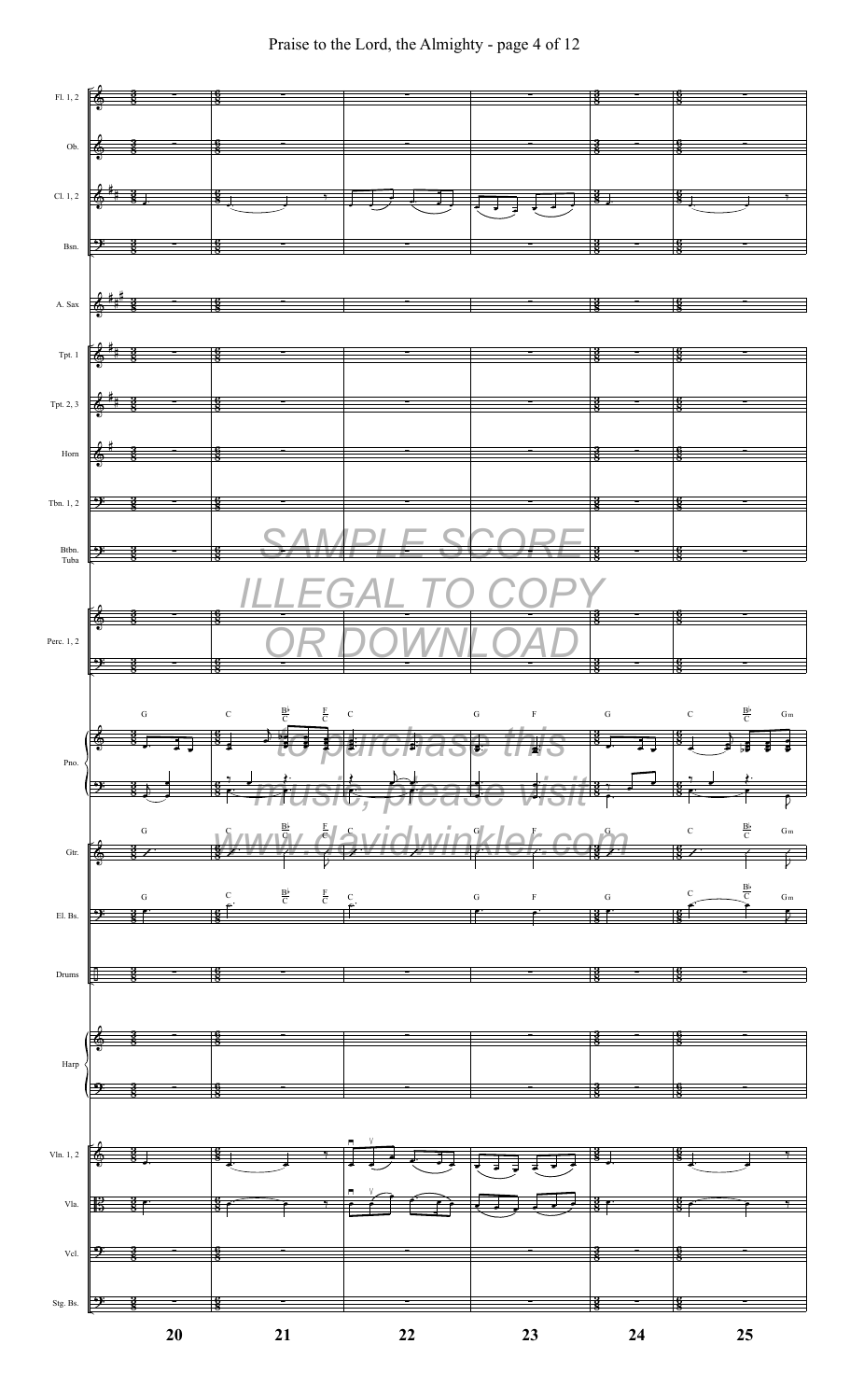

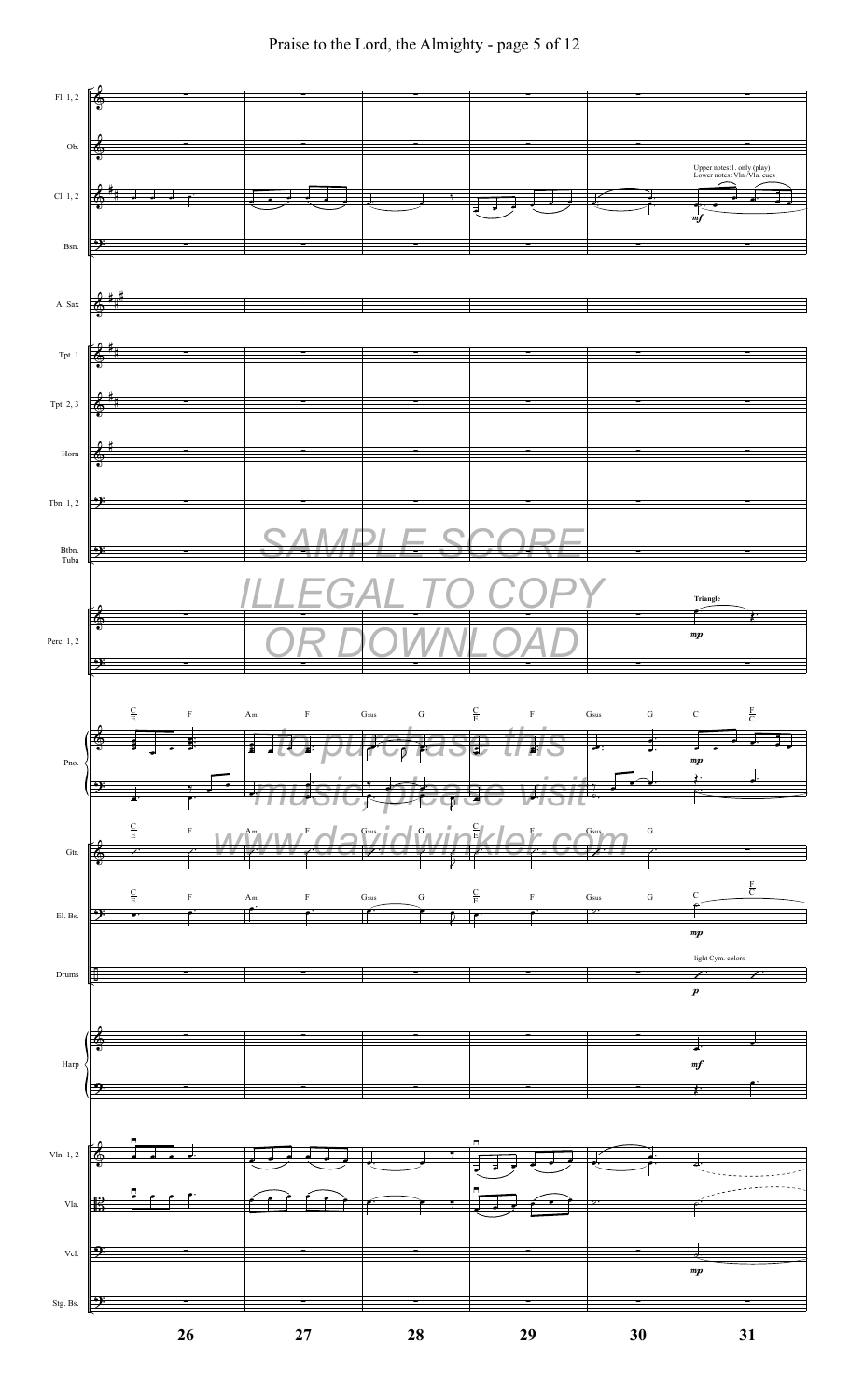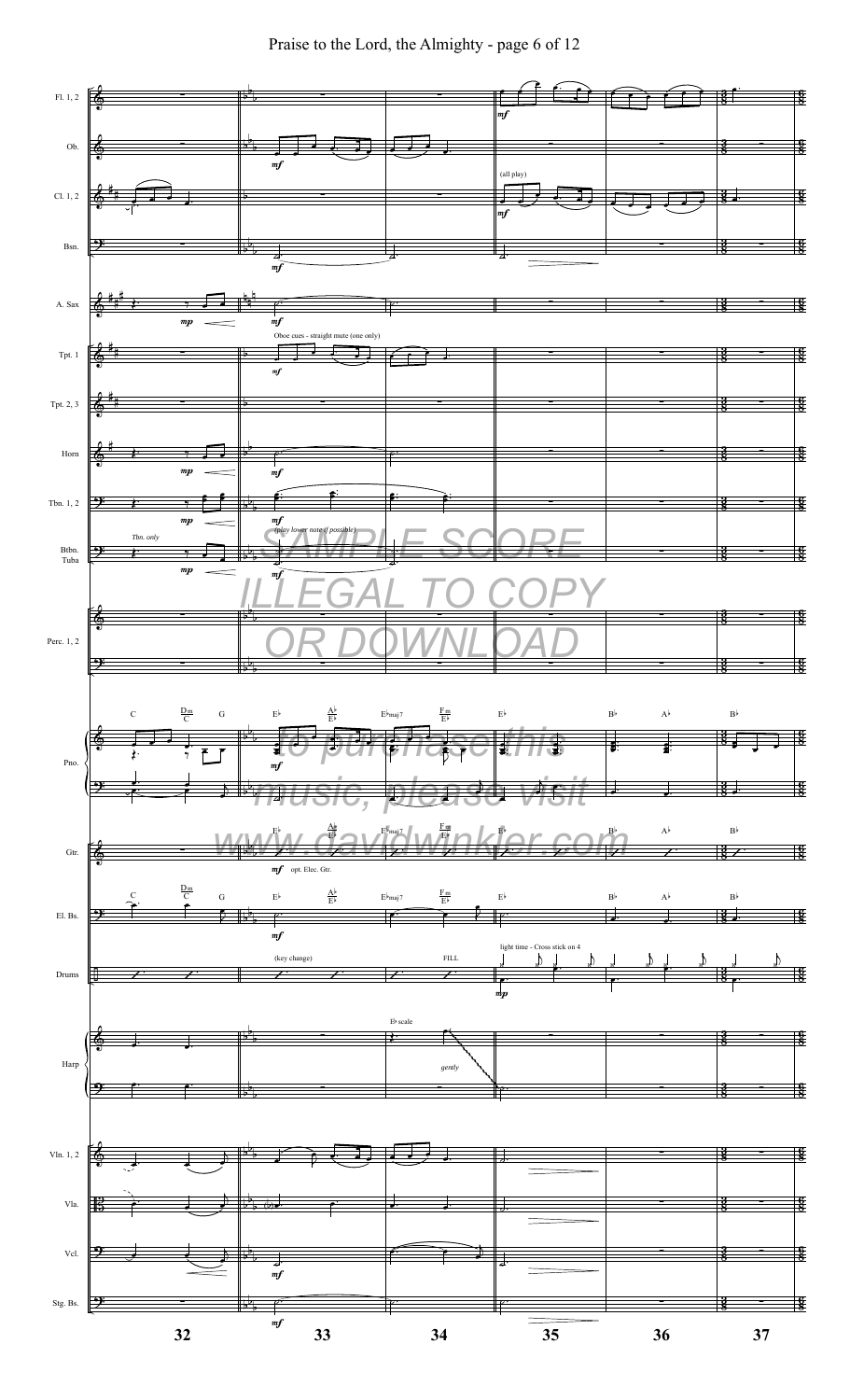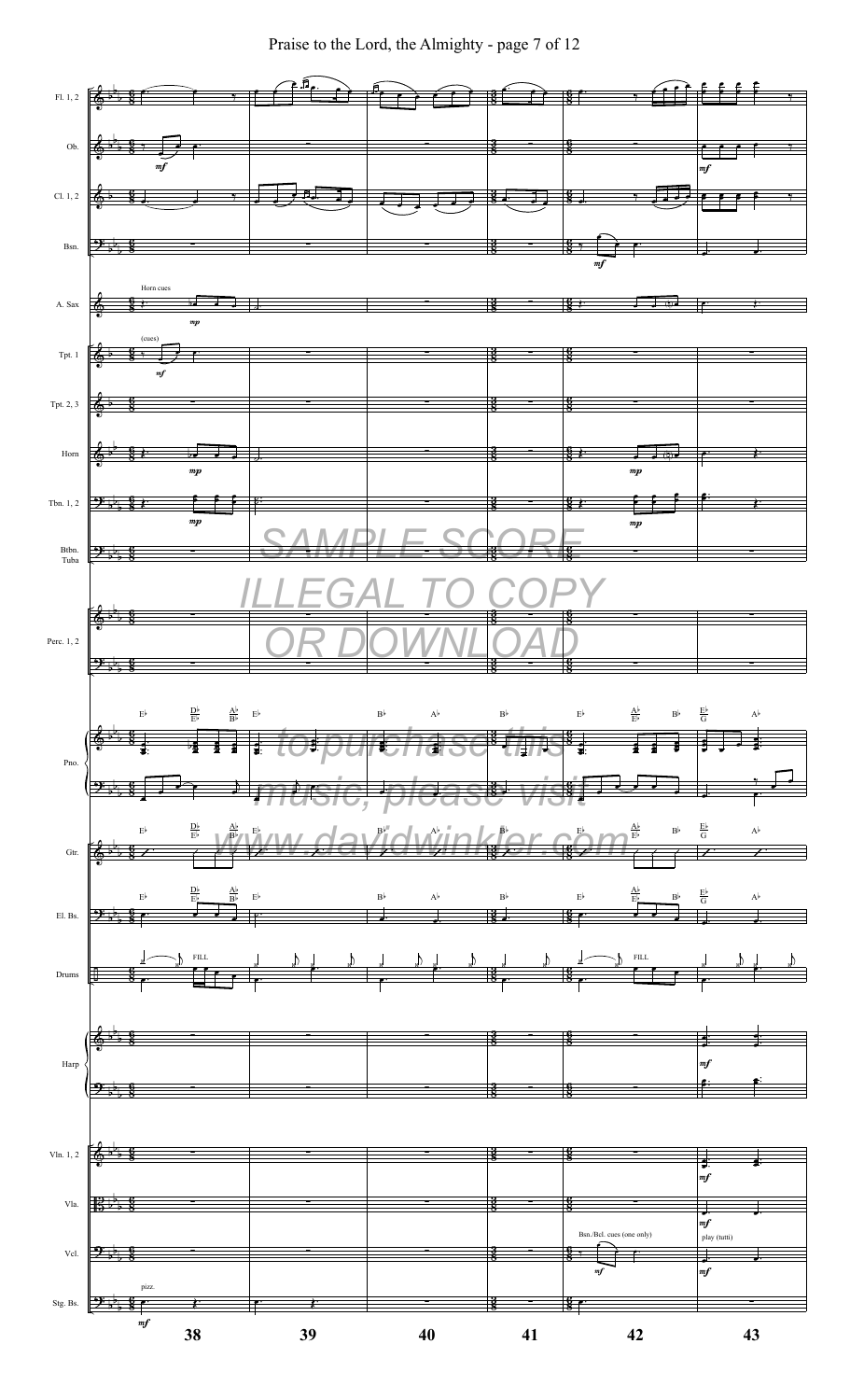Praise to the Lord, the Almighty - page 7 of 12

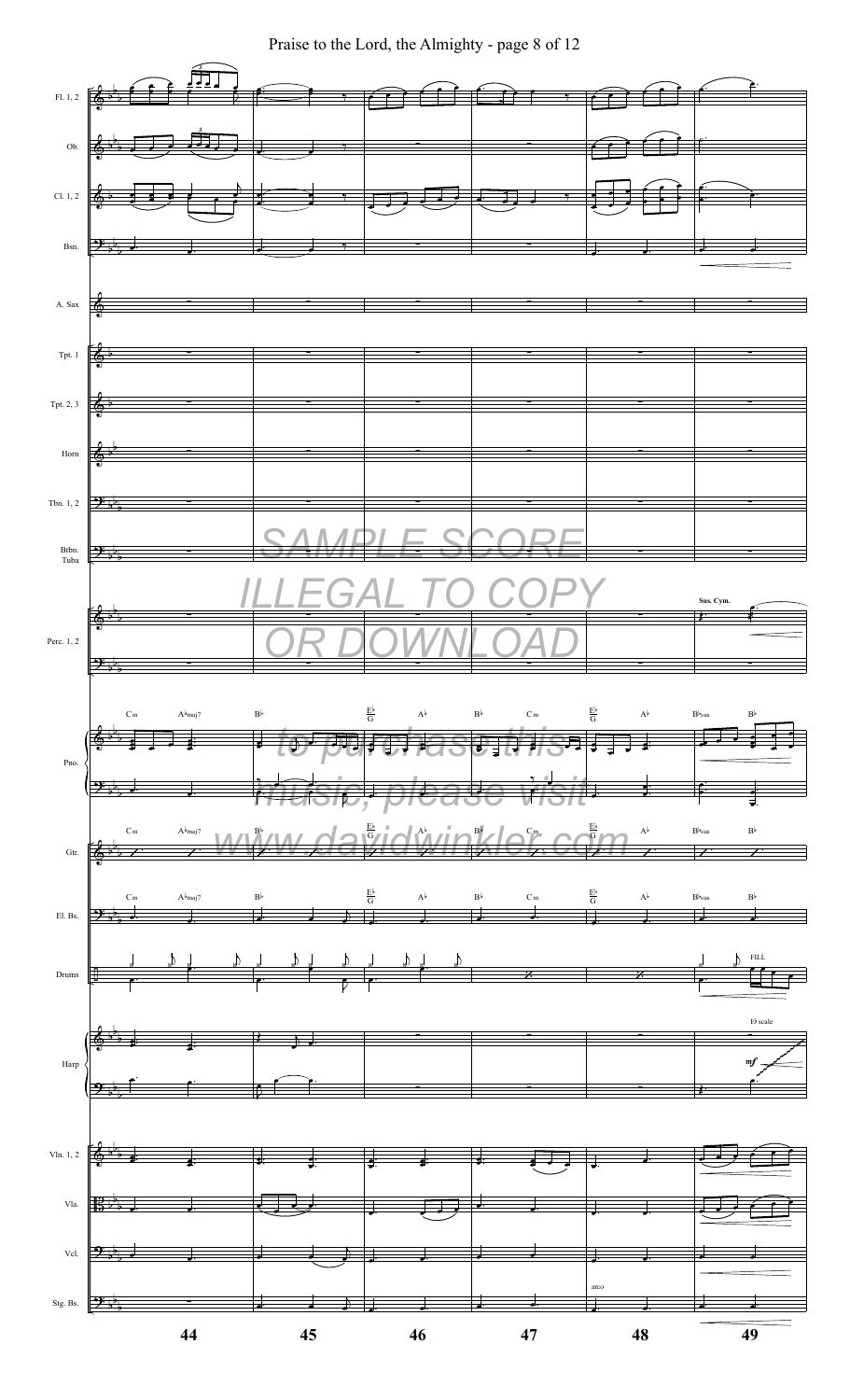Praise to the Lord, the Almighty - page 8 of 12

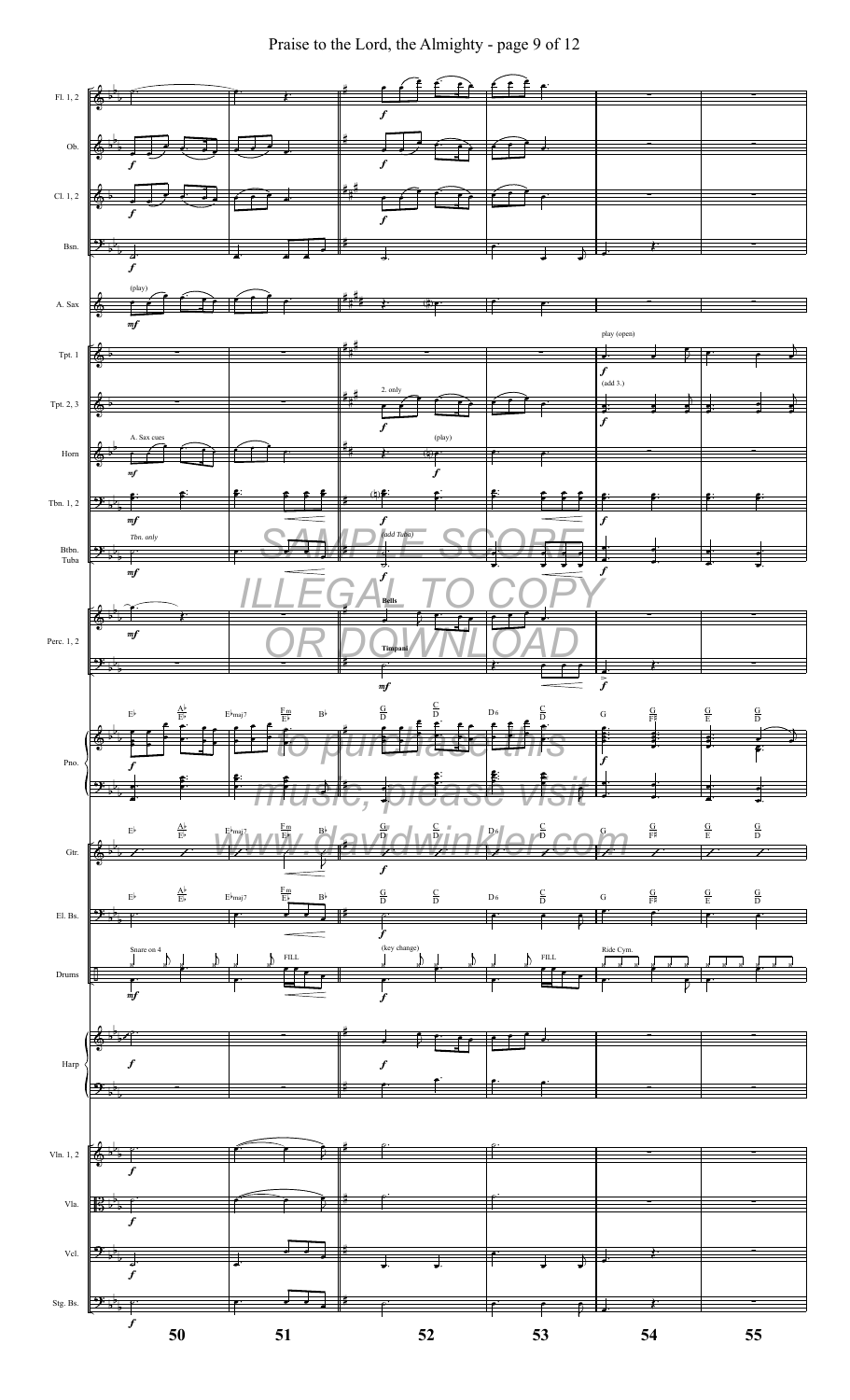Praise to the Lord, the Almighty - page 9 of 12

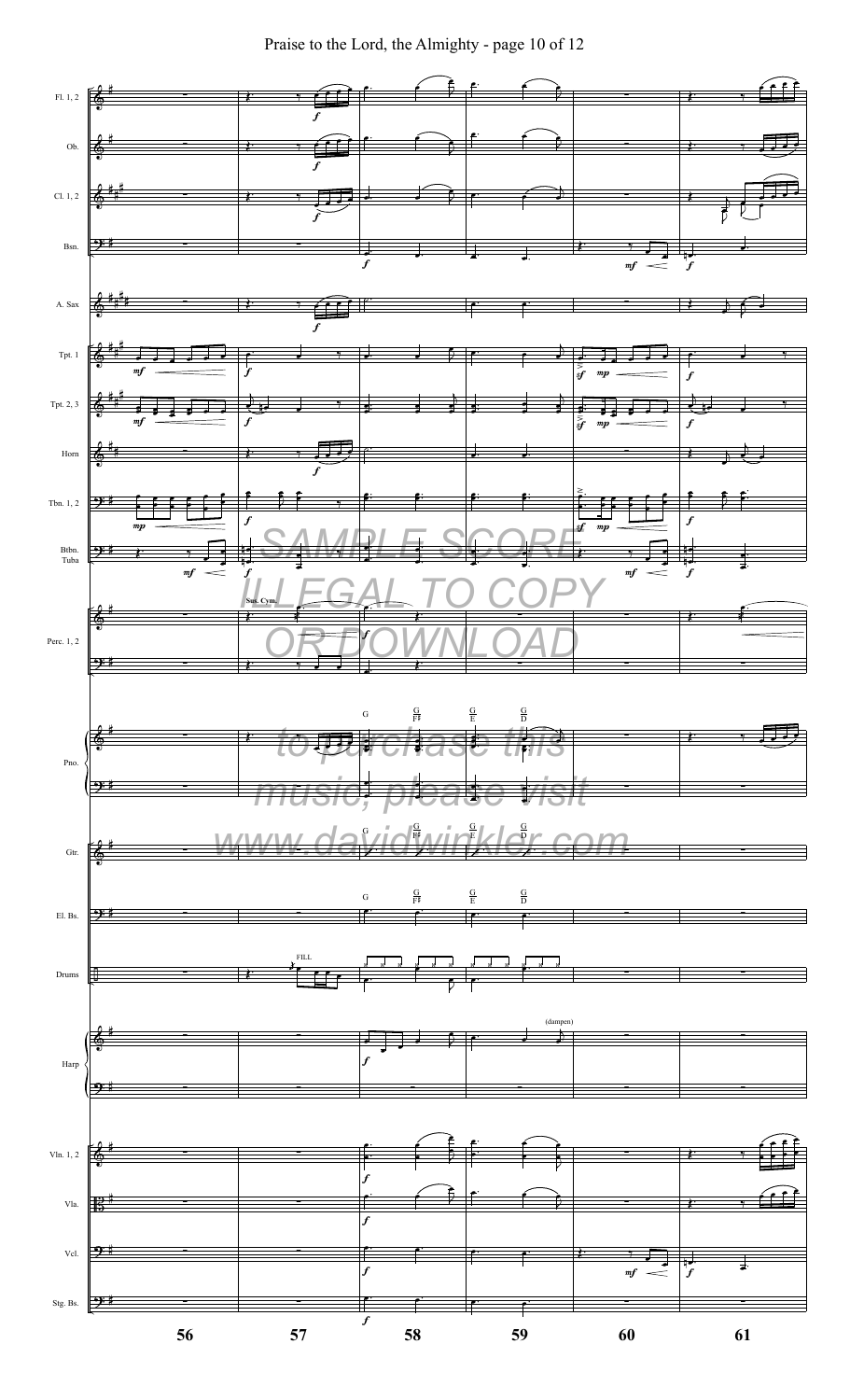Praise to the Lord, the Almighty - page 10 of 12

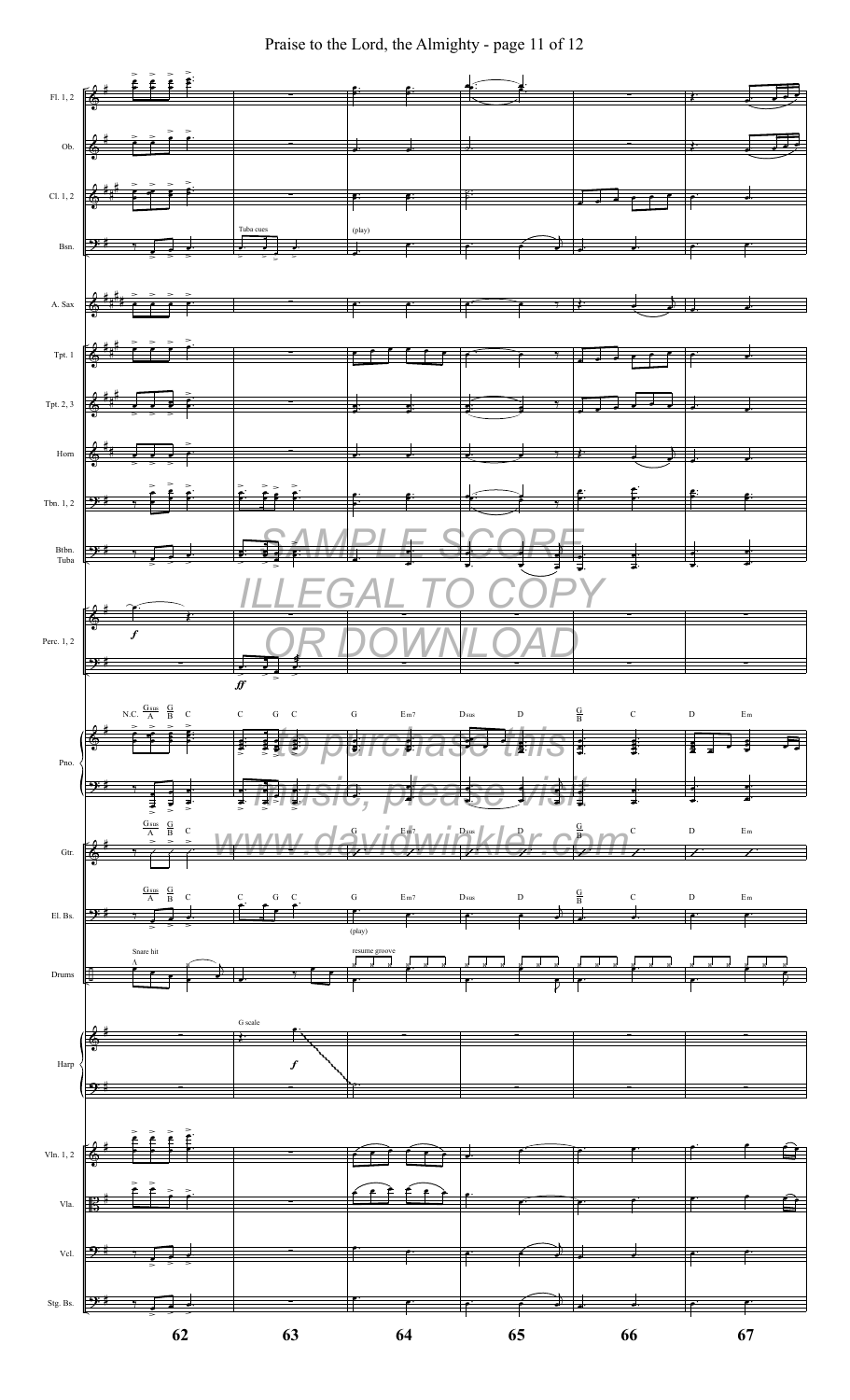Praise to the Lord, the Almighty - page 11 of 12